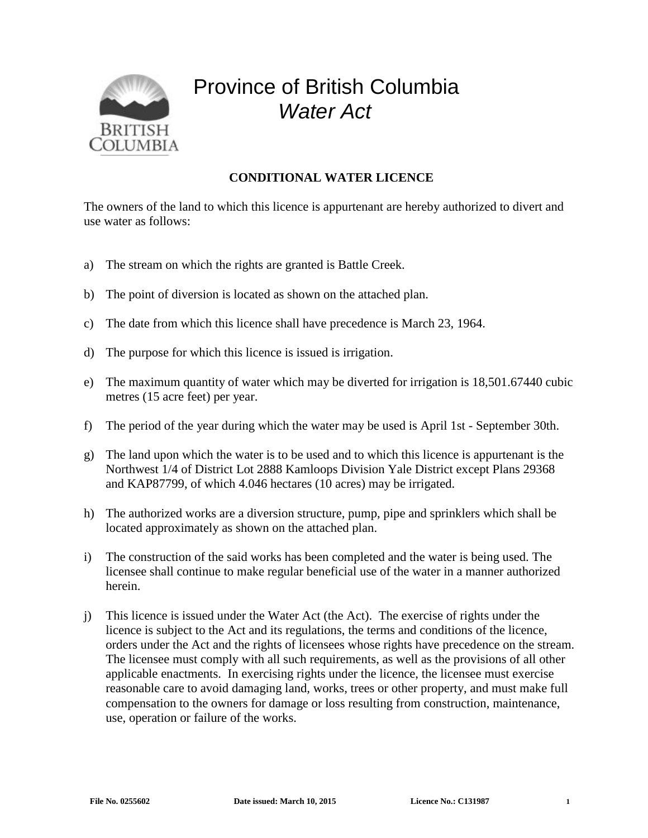

## Province of British Columbia *Water Act*

## **CONDITIONAL WATER LICENCE**

The owners of the land to which this licence is appurtenant are hereby authorized to divert and use water as follows:

- a) The stream on which the rights are granted is Battle Creek.
- b) The point of diversion is located as shown on the attached plan.
- c) The date from which this licence shall have precedence is March 23, 1964.
- d) The purpose for which this licence is issued is irrigation.
- e) The maximum quantity of water which may be diverted for irrigation is 18,501.67440 cubic metres (15 acre feet) per year.
- f) The period of the year during which the water may be used is April 1st September 30th.
- g) The land upon which the water is to be used and to which this licence is appurtenant is the Northwest 1/4 of District Lot 2888 Kamloops Division Yale District except Plans 29368 and KAP87799, of which 4.046 hectares (10 acres) may be irrigated.
- h) The authorized works are a diversion structure, pump, pipe and sprinklers which shall be located approximately as shown on the attached plan.
- i) The construction of the said works has been completed and the water is being used. The licensee shall continue to make regular beneficial use of the water in a manner authorized herein.
- j) This licence is issued under the Water Act (the Act). The exercise of rights under the licence is subject to the Act and its regulations, the terms and conditions of the licence, orders under the Act and the rights of licensees whose rights have precedence on the stream. The licensee must comply with all such requirements, as well as the provisions of all other applicable enactments. In exercising rights under the licence, the licensee must exercise reasonable care to avoid damaging land, works, trees or other property, and must make full compensation to the owners for damage or loss resulting from construction, maintenance, use, operation or failure of the works.